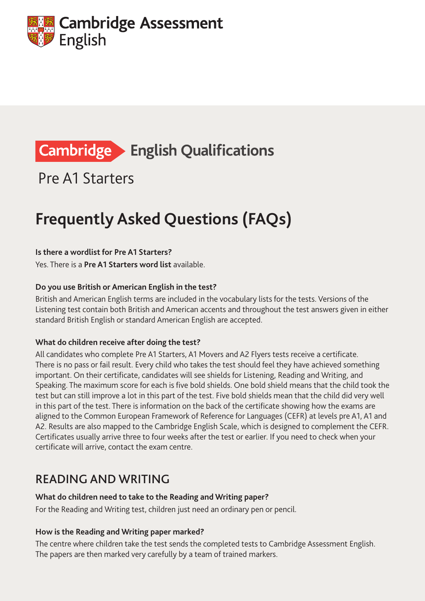

# **Cambridge > English Qualifications**

Pre A1 Starters

# **Frequently Asked Questions (FAQs)**

#### **Is there a wordlist for Pre A1 Starters?**

Yes. There is a **Pre A1 [Starters word list](http://www.cambridgeenglish.org/images/149679-yle-starters-word-list.pdf)** available.

#### **Do you use British or American English in the test?**

British and American English terms are included in the vocabulary lists for the tests. Versions of the Listening test contain both British and American accents and throughout the test answers given in either standard British English or standard American English are accepted.

#### **What do children receive after doing the test?**

All candidates who complete Pre A1 Starters, A1 Movers and A2 Flyers tests receive a certificate. There is no pass or fail result. Every child who takes the test should feel they have achieved something important. On their certificate, candidates will see shields for Listening, Reading and Writing, and Speaking. The maximum score for each is five bold shields. One bold shield means that the child took the test but can still improve a lot in this part of the test. Five bold shields mean that the child did very well in this part of the test. There is information on the back of the certificate showing how the exams are aligned to the Common European Framework of Reference for Languages (CEFR) at levels pre A1, A1 and A2. Results are also mapped to the Cambridge English Scale, which is designed to complement the CEFR. Certificates usually arrive three to four weeks after the test or earlier. If you need to check when your certificate will arrive, contact the exam centre.

### READING AND WRITING

#### **What do children need to take to the Reading and Writing paper?**

For the Reading and Writing test, children just need an ordinary pen or pencil.

#### **How is the Reading and Writing paper marked?**

The centre where children take the test sends the completed tests to Cambridge Assessment English. The papers are then marked very carefully by a team of trained markers.